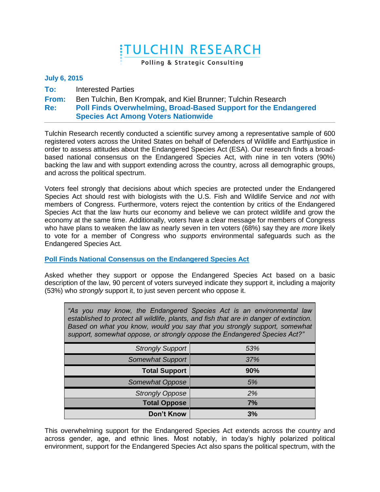# **ITULCHIN RESEARCH**

Polling & Strategic Consulting

## **July 6, 2015**

**To:** Interested Parties

**From:** Ben Tulchin, Ben Krompak, and Kiel Brunner; Tulchin Research

#### **Re: Poll Finds Overwhelming, Broad-Based Support for the Endangered Species Act Among Voters Nationwide**

Tulchin Research recently conducted a scientific survey among a representative sample of 600 registered voters across the United States on behalf of Defenders of Wildlife and Earthjustice in order to assess attitudes about the Endangered Species Act (ESA). Our research finds a broadbased national consensus on the Endangered Species Act, with nine in ten voters (90%) backing the law and with support extending across the country, across all demographic groups, and across the political spectrum.

Voters feel strongly that decisions about which species are protected under the Endangered Species Act should rest with biologists with the U.S. Fish and Wildlife Service and *not* with members of Congress. Furthermore, voters reject the contention by critics of the Endangered Species Act that the law hurts our economy and believe we can protect wildlife and grow the economy at the same time. Additionally, voters have a clear message for members of Congress who have plans to weaken the law as nearly seven in ten voters (68%) say they are *more* likely to vote for a member of Congress who *supports* environmental safeguards such as the Endangered Species Act.

# **Poll Finds National Consensus on the Endangered Species Act**

Asked whether they support or oppose the Endangered Species Act based on a basic description of the law, 90 percent of voters surveyed indicate they support it, including a majority (53%) who *strongly* support it, to just seven percent who oppose it.

| "As you may know, the Endangered Species Act is an environmental law<br>established to protect all wildlife, plants, and fish that are in danger of extinction.<br>Based on what you know, would you say that you strongly support, somewhat<br>support, somewhat oppose, or strongly oppose the Endangered Species Act?" |     |  |
|---------------------------------------------------------------------------------------------------------------------------------------------------------------------------------------------------------------------------------------------------------------------------------------------------------------------------|-----|--|
| <b>Strongly Support</b>                                                                                                                                                                                                                                                                                                   | 53% |  |
| <b>Somewhat Support</b>                                                                                                                                                                                                                                                                                                   | 37% |  |
| <b>Total Support</b>                                                                                                                                                                                                                                                                                                      | 90% |  |
| Somewhat Oppose                                                                                                                                                                                                                                                                                                           | 5%  |  |
| <b>Strongly Oppose</b>                                                                                                                                                                                                                                                                                                    | 2%  |  |
| <b>Total Oppose</b>                                                                                                                                                                                                                                                                                                       | 7%  |  |
| <b>Don't Know</b>                                                                                                                                                                                                                                                                                                         | 3%  |  |

This overwhelming support for the Endangered Species Act extends across the country and across gender, age, and ethnic lines. Most notably, in today's highly polarized political environment, support for the Endangered Species Act also spans the political spectrum, with the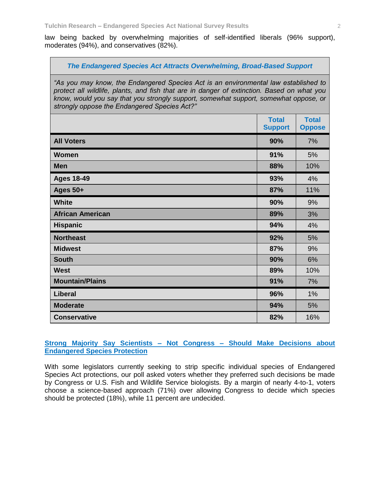law being backed by overwhelming majorities of self-identified liberals (96% support), moderates (94%), and conservatives (82%).

### *The Endangered Species Act Attracts Overwhelming, Broad-Based Support*

*"As you may know, the Endangered Species Act is an environmental law established to protect all wildlife, plants, and fish that are in danger of extinction. Based on what you know, would you say that you strongly support, somewhat support, somewhat oppose, or strongly oppose the Endangered Species Act?"*

|                         | <b>Total</b><br><b>Support</b> | <b>Total</b><br><b>Oppose</b> |
|-------------------------|--------------------------------|-------------------------------|
| <b>All Voters</b>       | 90%                            | 7%                            |
| <b>Women</b>            | 91%                            | 5%                            |
| <b>Men</b>              | 88%                            | 10%                           |
| <b>Ages 18-49</b>       | 93%                            | 4%                            |
| <b>Ages 50+</b>         | 87%                            | 11%                           |
| <b>White</b>            | 90%                            | 9%                            |
| <b>African American</b> | 89%                            | 3%                            |
| <b>Hispanic</b>         | 94%                            | 4%                            |
| <b>Northeast</b>        | 92%                            | 5%                            |
| <b>Midwest</b>          | 87%                            | 9%                            |
| <b>South</b>            | 90%                            | 6%                            |
| <b>West</b>             | 89%                            | 10%                           |
| <b>Mountain/Plains</b>  | 91%                            | 7%                            |
| <b>Liberal</b>          | 96%                            | 1%                            |
| <b>Moderate</b>         | 94%                            | 5%                            |
| <b>Conservative</b>     | 82%                            | 16%                           |

**Strong Majority Say Scientists – Not Congress – Should Make Decisions about Endangered Species Protection** 

With some legislators currently seeking to strip specific individual species of Endangered Species Act protections, our poll asked voters whether they preferred such decisions be made by Congress or U.S. Fish and Wildlife Service biologists. By a margin of nearly 4-to-1, voters choose a science-based approach (71%) over allowing Congress to decide which species should be protected (18%), while 11 percent are undecided.